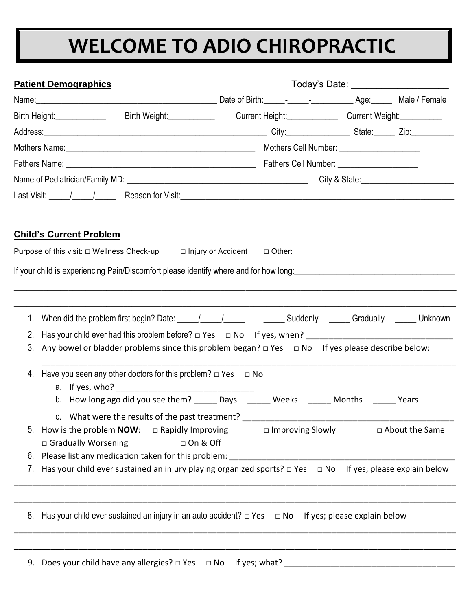## **WELCOME TO ADIO CHIROPRACTIC**

|          | <b>Patient Demographics</b>                                                                                                                                                                            |                                                                                       |  |                  |  |
|----------|--------------------------------------------------------------------------------------------------------------------------------------------------------------------------------------------------------|---------------------------------------------------------------------------------------|--|------------------|--|
|          |                                                                                                                                                                                                        |                                                                                       |  |                  |  |
|          | Birth Weight:____________<br>Birth Height:______________                                                                                                                                               | Current Height: Current Weight:                                                       |  |                  |  |
|          |                                                                                                                                                                                                        |                                                                                       |  |                  |  |
|          |                                                                                                                                                                                                        |                                                                                       |  |                  |  |
|          |                                                                                                                                                                                                        |                                                                                       |  |                  |  |
|          |                                                                                                                                                                                                        |                                                                                       |  |                  |  |
|          |                                                                                                                                                                                                        |                                                                                       |  |                  |  |
|          | <u> Child's Current Problem</u>                                                                                                                                                                        |                                                                                       |  |                  |  |
|          | If your child is experiencing Pain/Discomfort please identify where and for how long:<br>Same and for hour content to the content of the content of the content of the content of the content of the c |                                                                                       |  |                  |  |
| 1.       |                                                                                                                                                                                                        |                                                                                       |  |                  |  |
| 2.<br>3. | Any bowel or bladder problems since this problem began? $\Box$ Yes $\Box$ No If yes please describe below:                                                                                             |                                                                                       |  |                  |  |
| 4.       | Have you seen any other doctors for this problem? $\Box$ Yes $\Box$ No                                                                                                                                 |                                                                                       |  |                  |  |
|          | c. What were the results of the past treatment?                                                                                                                                                        | b. How long ago did you see them? ______ Days ______ Weeks ______ Months ______ Years |  |                  |  |
| 5.       | How is the problem <b>NOW</b> : $\Box$ Rapidly Improving<br>$\Box$ Gradually Worsening                                                                                                                 | $\Box$ Improving Slowly<br>$\Box$ On & Off                                            |  | □ About the Same |  |
| 6.       | Please list any medication taken for this problem:                                                                                                                                                     |                                                                                       |  |                  |  |
| 7.       | Has your child ever sustained an injury playing organized sports? $\Box$ Yes $\Box$ No If yes; please explain below                                                                                    |                                                                                       |  |                  |  |
|          |                                                                                                                                                                                                        |                                                                                       |  |                  |  |
| 8.       | Has your child ever sustained an injury in an auto accident? $\Box$ Yes $\Box$ No If yes; please explain below                                                                                         |                                                                                       |  |                  |  |
|          |                                                                                                                                                                                                        |                                                                                       |  |                  |  |

9. Does your child have any allergies? □ Yes □ No If yes; what?